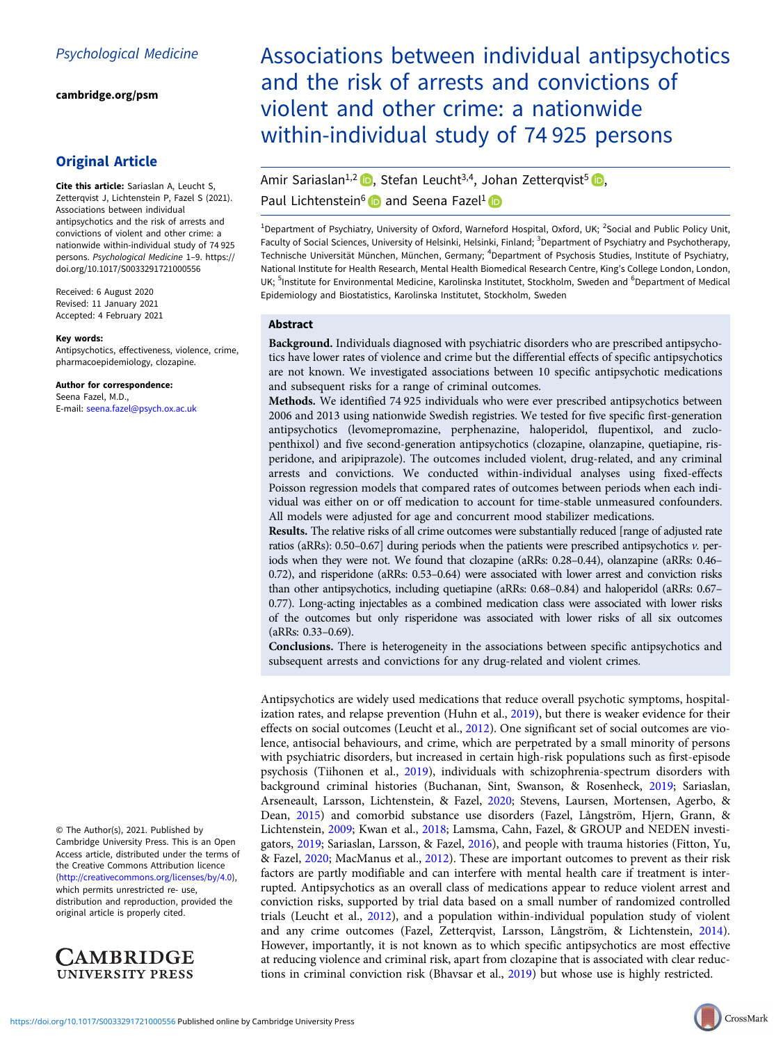[cambridge.org/psm](https://www.cambridge.org/psm)

## Original Article

Cite this article: Sariaslan A, Leucht S, Zetterqvist J, Lichtenstein P, Fazel S (2021). Associations between individual antipsychotics and the risk of arrests and convictions of violent and other crime: a nationwide within-individual study of 74 925 persons. Psychological Medicine 1–9. [https://](https://doi.org/10.1017/S0033291721000556) [doi.org/10.1017/S0033291721000556](https://doi.org/10.1017/S0033291721000556)

Received: 6 August 2020 Revised: 11 January 2021 Accepted: 4 February 2021

#### Key words:

Antipsychotics, effectiveness, violence, crime, pharmacoepidemiology, clozapine.

Author for correspondence: Seena Fazel, M.D., E-mail: [seena.fazel@psych.ox.ac.uk](mailto:seena.fazel@psych.ox.ac.uk)

© The Author(s), 2021. Published by Cambridge University Press. This is an Open Access article, distributed under the terms of the Creative Commons Attribution licence (<http://creativecommons.org/licenses/by/4.0>), which permits unrestricted re- use, distribution and reproduction, provided the original article is properly cited.



Associations between individual antipsychotics and the risk of arrests and convictions of violent and other crime: a nationwide within-individual study of 74 925 persons

# Amir Sariaslan<sup>1[,](https://orcid.org/0000-0003-2890-0409)2</sup>  $\bullet$ , Stefan Leucht<sup>3,4</sup>, Johan Zetterqvist<sup>5</sup>  $\bullet$ , Paul Lichtenstein<sup>6</sup> and Seena Fazel<sup>1</sup>

<sup>1</sup>Department of Psychiatry, University of Oxford, Warneford Hospital, Oxford, UK; <sup>2</sup>Social and Public Policy Unit, Faculty of Social Sciences, University of Helsinki, Helsinki, Finland; <sup>3</sup>Department of Psychiatry and Psychotherapy, Technische Universität München, München, Germany; <sup>4</sup>Department of Psychosis Studies, Institute of Psychiatry, National Institute for Health Research, Mental Health Biomedical Research Centre, King's College London, London, UK; <sup>5</sup>Institute for Environmental Medicine, Karolinska Institutet, Stockholm, Sweden and <sup>6</sup>Department of Medical Epidemiology and Biostatistics, Karolinska Institutet, Stockholm, Sweden

## Abstract

Background. Individuals diagnosed with psychiatric disorders who are prescribed antipsychotics have lower rates of violence and crime but the differential effects of specific antipsychotics are not known. We investigated associations between 10 specific antipsychotic medications and subsequent risks for a range of criminal outcomes.

Methods. We identified 74 925 individuals who were ever prescribed antipsychotics between 2006 and 2013 using nationwide Swedish registries. We tested for five specific first-generation antipsychotics (levomepromazine, perphenazine, haloperidol, flupentixol, and zuclopenthixol) and five second-generation antipsychotics (clozapine, olanzapine, quetiapine, risperidone, and aripiprazole). The outcomes included violent, drug-related, and any criminal arrests and convictions. We conducted within-individual analyses using fixed-effects Poisson regression models that compared rates of outcomes between periods when each individual was either on or off medication to account for time-stable unmeasured confounders. All models were adjusted for age and concurrent mood stabilizer medications.

Results. The relative risks of all crime outcomes were substantially reduced [range of adjusted rate ratios (aRRs): 0.50–0.67] during periods when the patients were prescribed antipsychotics v. periods when they were not. We found that clozapine (aRRs: 0.28–0.44), olanzapine (aRRs: 0.46– 0.72), and risperidone (aRRs: 0.53–0.64) were associated with lower arrest and conviction risks than other antipsychotics, including quetiapine (aRRs: 0.68–0.84) and haloperidol (aRRs: 0.67– 0.77). Long-acting injectables as a combined medication class were associated with lower risks of the outcomes but only risperidone was associated with lower risks of all six outcomes (aRRs: 0.33–0.69).

Conclusions. There is heterogeneity in the associations between specific antipsychotics and subsequent arrests and convictions for any drug-related and violent crimes.

Antipsychotics are widely used medications that reduce overall psychotic symptoms, hospital-ization rates, and relapse prevention (Huhn et al., [2019\)](#page-7-0), but there is weaker evidence for their effects on social outcomes (Leucht et al., [2012\)](#page-7-0). One significant set of social outcomes are violence, antisocial behaviours, and crime, which are perpetrated by a small minority of persons with psychiatric disorders, but increased in certain high-risk populations such as first-episode psychosis (Tiihonen et al., [2019\)](#page-8-0), individuals with schizophrenia-spectrum disorders with background criminal histories (Buchanan, Sint, Swanson, & Rosenheck, [2019](#page-7-0); Sariaslan, Arseneault, Larsson, Lichtenstein, & Fazel, [2020](#page-8-0); Stevens, Laursen, Mortensen, Agerbo, & Dean, [2015\)](#page-8-0) and comorbid substance use disorders (Fazel, Långström, Hjern, Grann, & Lichtenstein, [2009;](#page-7-0) Kwan et al., [2018;](#page-7-0) Lamsma, Cahn, Fazel, & GROUP and NEDEN investigators, [2019](#page-7-0); Sariaslan, Larsson, & Fazel, [2016](#page-8-0)), and people with trauma histories (Fitton, Yu, & Fazel, [2020](#page-7-0); MacManus et al., [2012\)](#page-8-0). These are important outcomes to prevent as their risk factors are partly modifiable and can interfere with mental health care if treatment is interrupted. Antipsychotics as an overall class of medications appear to reduce violent arrest and conviction risks, supported by trial data based on a small number of randomized controlled trials (Leucht et al., [2012\)](#page-7-0), and a population within-individual population study of violent and any crime outcomes (Fazel, Zetterqvist, Larsson, Långström, & Lichtenstein, [2014](#page-7-0)). However, importantly, it is not known as to which specific antipsychotics are most effective at reducing violence and criminal risk, apart from clozapine that is associated with clear reductions in criminal conviction risk (Bhavsar et al., [2019\)](#page-7-0) but whose use is highly restricted.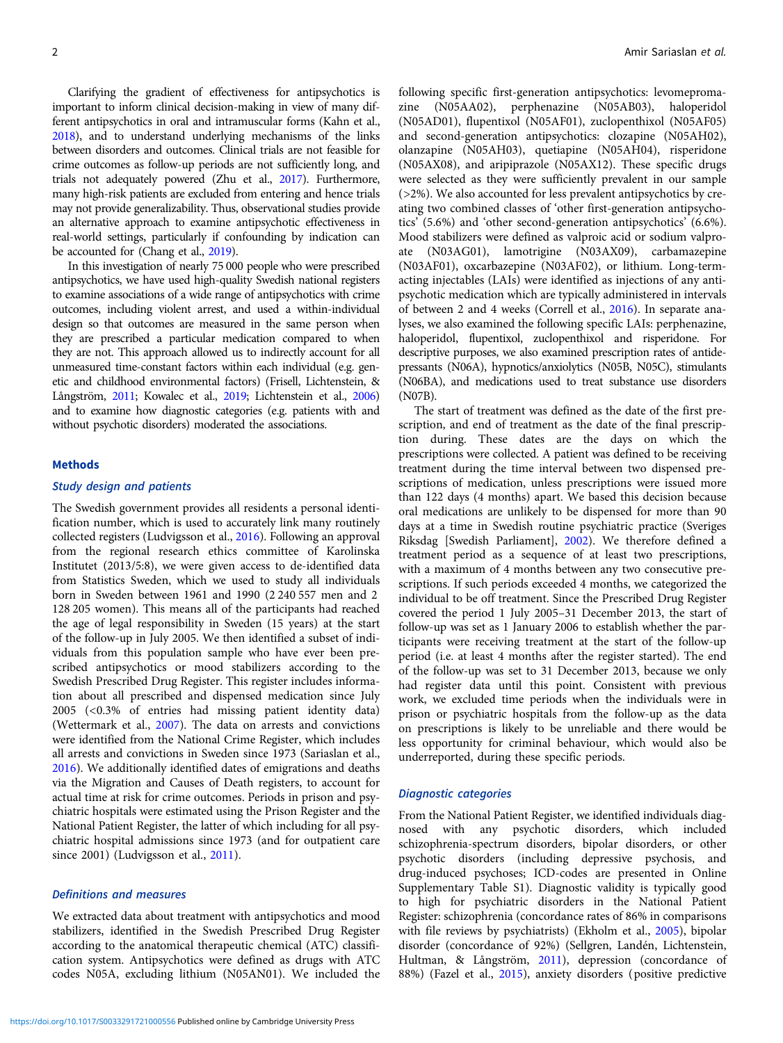Clarifying the gradient of effectiveness for antipsychotics is important to inform clinical decision-making in view of many different antipsychotics in oral and intramuscular forms (Kahn et al., [2018](#page-7-0)), and to understand underlying mechanisms of the links between disorders and outcomes. Clinical trials are not feasible for crime outcomes as follow-up periods are not sufficiently long, and trials not adequately powered (Zhu et al., [2017](#page-8-0)). Furthermore, many high-risk patients are excluded from entering and hence trials may not provide generalizability. Thus, observational studies provide an alternative approach to examine antipsychotic effectiveness in real-world settings, particularly if confounding by indication can be accounted for (Chang et al., [2019](#page-7-0)).

In this investigation of nearly 75 000 people who were prescribed antipsychotics, we have used high-quality Swedish national registers to examine associations of a wide range of antipsychotics with crime outcomes, including violent arrest, and used a within-individual design so that outcomes are measured in the same person when they are prescribed a particular medication compared to when they are not. This approach allowed us to indirectly account for all unmeasured time-constant factors within each individual (e.g. genetic and childhood environmental factors) (Frisell, Lichtenstein, & Långström, [2011;](#page-7-0) Kowalec et al., [2019](#page-7-0); Lichtenstein et al., [2006\)](#page-8-0) and to examine how diagnostic categories (e.g. patients with and without psychotic disorders) moderated the associations.

#### Methods

## Study design and patients

The Swedish government provides all residents a personal identification number, which is used to accurately link many routinely collected registers (Ludvigsson et al., [2016\)](#page-8-0). Following an approval from the regional research ethics committee of Karolinska Institutet (2013/5:8), we were given access to de-identified data from Statistics Sweden, which we used to study all individuals born in Sweden between 1961 and 1990 (2 240 557 men and 2 128 205 women). This means all of the participants had reached the age of legal responsibility in Sweden (15 years) at the start of the follow-up in July 2005. We then identified a subset of individuals from this population sample who have ever been prescribed antipsychotics or mood stabilizers according to the Swedish Prescribed Drug Register. This register includes information about all prescribed and dispensed medication since July 2005 (<0.3% of entries had missing patient identity data) (Wettermark et al., [2007\)](#page-8-0). The data on arrests and convictions were identified from the National Crime Register, which includes all arrests and convictions in Sweden since 1973 (Sariaslan et al., [2016\)](#page-8-0). We additionally identified dates of emigrations and deaths via the Migration and Causes of Death registers, to account for actual time at risk for crime outcomes. Periods in prison and psychiatric hospitals were estimated using the Prison Register and the National Patient Register, the latter of which including for all psychiatric hospital admissions since 1973 (and for outpatient care since 2001) (Ludvigsson et al., [2011](#page-8-0)).

## Definitions and measures

We extracted data about treatment with antipsychotics and mood stabilizers, identified in the Swedish Prescribed Drug Register according to the anatomical therapeutic chemical (ATC) classification system. Antipsychotics were defined as drugs with ATC codes N05A, excluding lithium (N05AN01). We included the following specific first-generation antipsychotics: levomepromazine (N05AA02), perphenazine (N05AB03), haloperidol (N05AD01), flupentixol (N05AF01), zuclopenthixol (N05AF05) and second-generation antipsychotics: clozapine (N05AH02), olanzapine (N05AH03), quetiapine (N05AH04), risperidone (N05AX08), and aripiprazole (N05AX12). These specific drugs were selected as they were sufficiently prevalent in our sample (>2%). We also accounted for less prevalent antipsychotics by creating two combined classes of 'other first-generation antipsychotics' (5.6%) and 'other second-generation antipsychotics' (6.6%). Mood stabilizers were defined as valproic acid or sodium valproate (N03AG01), lamotrigine (N03AX09), carbamazepine (N03AF01), oxcarbazepine (N03AF02), or lithium. Long-termacting injectables (LAIs) were identified as injections of any antipsychotic medication which are typically administered in intervals of between 2 and 4 weeks (Correll et al., [2016\)](#page-7-0). In separate analyses, we also examined the following specific LAIs: perphenazine, haloperidol, flupentixol, zuclopenthixol and risperidone. For descriptive purposes, we also examined prescription rates of antidepressants (N06A), hypnotics/anxiolytics (N05B, N05C), stimulants (N06BA), and medications used to treat substance use disorders (N07B).

The start of treatment was defined as the date of the first prescription, and end of treatment as the date of the final prescription during. These dates are the days on which the prescriptions were collected. A patient was defined to be receiving treatment during the time interval between two dispensed prescriptions of medication, unless prescriptions were issued more than 122 days (4 months) apart. We based this decision because oral medications are unlikely to be dispensed for more than 90 days at a time in Swedish routine psychiatric practice (Sveriges Riksdag [Swedish Parliament], [2002\)](#page-8-0). We therefore defined a treatment period as a sequence of at least two prescriptions, with a maximum of 4 months between any two consecutive prescriptions. If such periods exceeded 4 months, we categorized the individual to be off treatment. Since the Prescribed Drug Register covered the period 1 July 2005–31 December 2013, the start of follow-up was set as 1 January 2006 to establish whether the participants were receiving treatment at the start of the follow-up period (i.e. at least 4 months after the register started). The end of the follow-up was set to 31 December 2013, because we only had register data until this point. Consistent with previous work, we excluded time periods when the individuals were in prison or psychiatric hospitals from the follow-up as the data on prescriptions is likely to be unreliable and there would be less opportunity for criminal behaviour, which would also be underreported, during these specific periods.

#### Diagnostic categories

From the National Patient Register, we identified individuals diagnosed with any psychotic disorders, which included schizophrenia-spectrum disorders, bipolar disorders, or other psychotic disorders (including depressive psychosis, and drug-induced psychoses; ICD-codes are presented in Online Supplementary Table S1). Diagnostic validity is typically good to high for psychiatric disorders in the National Patient Register: schizophrenia (concordance rates of 86% in comparisons with file reviews by psychiatrists) (Ekholm et al., [2005\)](#page-7-0), bipolar disorder (concordance of 92%) (Sellgren, Landén, Lichtenstein, Hultman, & Långström, [2011\)](#page-8-0), depression (concordance of 88%) (Fazel et al., [2015\)](#page-7-0), anxiety disorders (positive predictive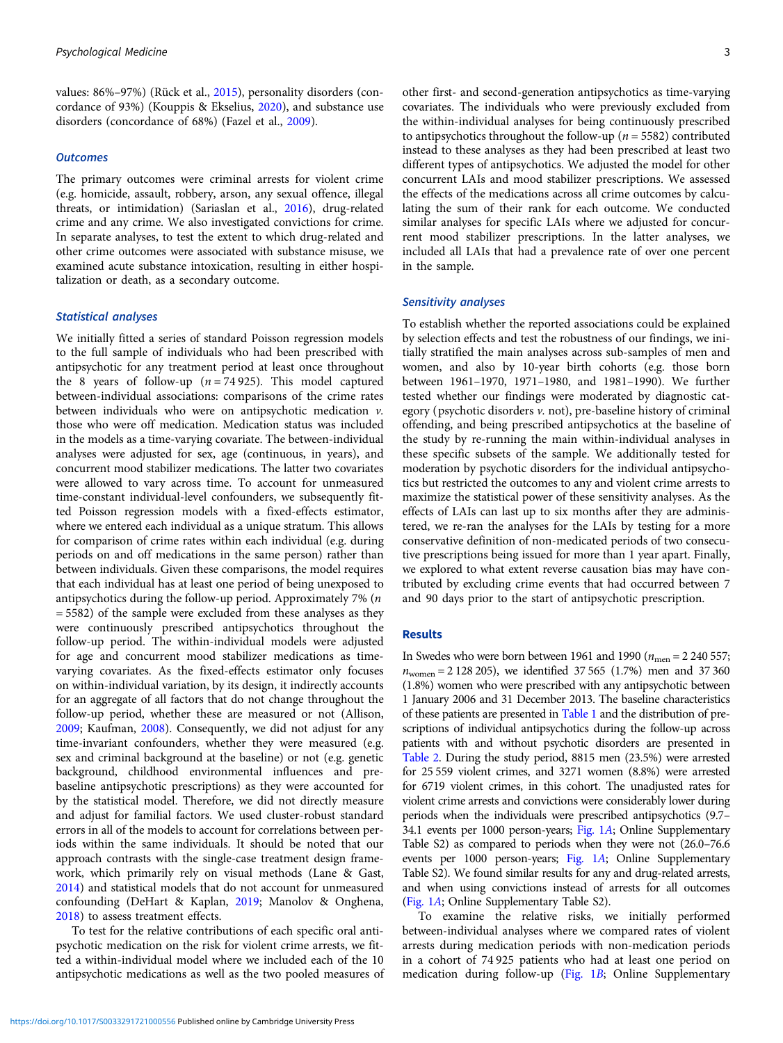values: 86%–97%) (Rück et al., [2015\)](#page-8-0), personality disorders (concordance of 93%) (Kouppis & Ekselius, [2020\)](#page-7-0), and substance use disorders (concordance of 68%) (Fazel et al., [2009\)](#page-7-0).

### **Outcomes**

The primary outcomes were criminal arrests for violent crime (e.g. homicide, assault, robbery, arson, any sexual offence, illegal threats, or intimidation) (Sariaslan et al., [2016\)](#page-8-0), drug-related crime and any crime. We also investigated convictions for crime. In separate analyses, to test the extent to which drug-related and other crime outcomes were associated with substance misuse, we examined acute substance intoxication, resulting in either hospitalization or death, as a secondary outcome.

## Statistical analyses

We initially fitted a series of standard Poisson regression models to the full sample of individuals who had been prescribed with antipsychotic for any treatment period at least once throughout the 8 years of follow-up ( $n = 74925$ ). This model captured between-individual associations: comparisons of the crime rates between individuals who were on antipsychotic medication  $\nu$ . those who were off medication. Medication status was included in the models as a time-varying covariate. The between-individual analyses were adjusted for sex, age (continuous, in years), and concurrent mood stabilizer medications. The latter two covariates were allowed to vary across time. To account for unmeasured time-constant individual-level confounders, we subsequently fitted Poisson regression models with a fixed-effects estimator, where we entered each individual as a unique stratum. This allows for comparison of crime rates within each individual (e.g. during periods on and off medications in the same person) rather than between individuals. Given these comparisons, the model requires that each individual has at least one period of being unexposed to antipsychotics during the follow-up period. Approximately 7% (n = 5582) of the sample were excluded from these analyses as they were continuously prescribed antipsychotics throughout the follow-up period. The within-individual models were adjusted for age and concurrent mood stabilizer medications as timevarying covariates. As the fixed-effects estimator only focuses on within-individual variation, by its design, it indirectly accounts for an aggregate of all factors that do not change throughout the follow-up period, whether these are measured or not (Allison, [2009;](#page-7-0) Kaufman, [2008\)](#page-7-0). Consequently, we did not adjust for any time-invariant confounders, whether they were measured (e.g. sex and criminal background at the baseline) or not (e.g. genetic background, childhood environmental influences and prebaseline antipsychotic prescriptions) as they were accounted for by the statistical model. Therefore, we did not directly measure and adjust for familial factors. We used cluster-robust standard errors in all of the models to account for correlations between periods within the same individuals. It should be noted that our approach contrasts with the single-case treatment design framework, which primarily rely on visual methods (Lane & Gast, [2014\)](#page-7-0) and statistical models that do not account for unmeasured confounding (DeHart & Kaplan, [2019](#page-7-0); Manolov & Onghena, [2018\)](#page-8-0) to assess treatment effects.

To test for the relative contributions of each specific oral antipsychotic medication on the risk for violent crime arrests, we fitted a within-individual model where we included each of the 10 antipsychotic medications as well as the two pooled measures of other first- and second-generation antipsychotics as time-varying covariates. The individuals who were previously excluded from the within-individual analyses for being continuously prescribed to antipsychotics throughout the follow-up ( $n = 5582$ ) contributed instead to these analyses as they had been prescribed at least two different types of antipsychotics. We adjusted the model for other concurrent LAIs and mood stabilizer prescriptions. We assessed the effects of the medications across all crime outcomes by calculating the sum of their rank for each outcome. We conducted similar analyses for specific LAIs where we adjusted for concurrent mood stabilizer prescriptions. In the latter analyses, we included all LAIs that had a prevalence rate of over one percent in the sample.

## Sensitivity analyses

To establish whether the reported associations could be explained by selection effects and test the robustness of our findings, we initially stratified the main analyses across sub-samples of men and women, and also by 10-year birth cohorts (e.g. those born between 1961–1970, 1971–1980, and 1981–1990). We further tested whether our findings were moderated by diagnostic category (psychotic disorders v. not), pre-baseline history of criminal offending, and being prescribed antipsychotics at the baseline of the study by re-running the main within-individual analyses in these specific subsets of the sample. We additionally tested for moderation by psychotic disorders for the individual antipsychotics but restricted the outcomes to any and violent crime arrests to maximize the statistical power of these sensitivity analyses. As the effects of LAIs can last up to six months after they are administered, we re-ran the analyses for the LAIs by testing for a more conservative definition of non-medicated periods of two consecutive prescriptions being issued for more than 1 year apart. Finally, we explored to what extent reverse causation bias may have contributed by excluding crime events that had occurred between 7 and 90 days prior to the start of antipsychotic prescription.

## Results

In Swedes who were born between 1961 and 1990 ( $n_{\text{men}} = 2240557$ ;  $n_{\text{women}} = 2 128 205$ , we identified 37 565 (1.7%) men and 37 360 (1.8%) women who were prescribed with any antipsychotic between 1 January 2006 and 31 December 2013. The baseline characteristics of these patients are presented in [Table 1](#page-3-0) and the distribution of prescriptions of individual antipsychotics during the follow-up across patients with and without psychotic disorders are presented in [Table 2.](#page-4-0) During the study period, 8815 men (23.5%) were arrested for 25 559 violent crimes, and 3271 women (8.8%) were arrested for 6719 violent crimes, in this cohort. The unadjusted rates for violent crime arrests and convictions were considerably lower during periods when the individuals were prescribed antipsychotics (9.7– 34.1 events per 1000 person-years; [Fig. 1](#page-5-0)A; Online Supplementary Table S2) as compared to periods when they were not (26.0–76.6 events per 1000 person-years; [Fig. 1](#page-5-0)A; Online Supplementary Table S2). We found similar results for any and drug-related arrests, and when using convictions instead of arrests for all outcomes [\(Fig. 1](#page-5-0)A; Online Supplementary Table S2).

To examine the relative risks, we initially performed between-individual analyses where we compared rates of violent arrests during medication periods with non-medication periods in a cohort of 74 925 patients who had at least one period on medication during follow-up ([Fig. 1](#page-5-0)B; Online Supplementary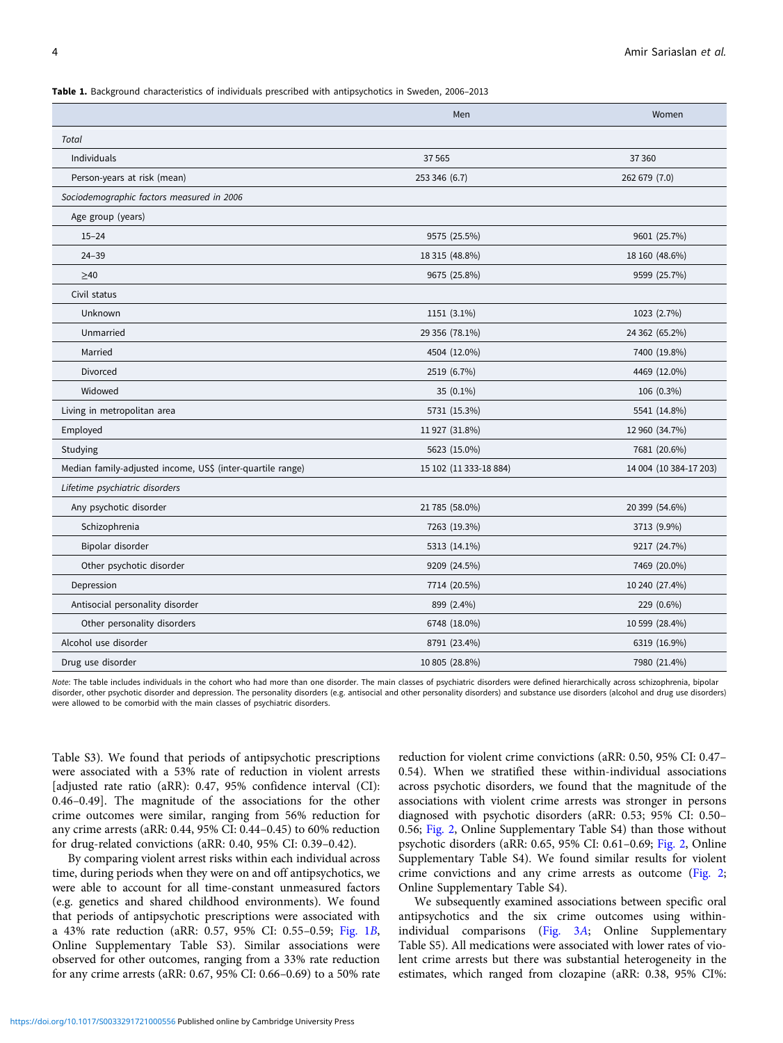<span id="page-3-0"></span>Table 1. Background characteristics of individuals prescribed with antipsychotics in Sweden, 2006–2013

|                                                            | Men                    | Women                  |
|------------------------------------------------------------|------------------------|------------------------|
| <b>Total</b>                                               |                        |                        |
| Individuals                                                | 37 5 65                | 37 360                 |
| Person-years at risk (mean)                                | 253 346 (6.7)          | 262 679 (7.0)          |
| Sociodemographic factors measured in 2006                  |                        |                        |
| Age group (years)                                          |                        |                        |
| $15 - 24$                                                  | 9575 (25.5%)           | 9601 (25.7%)           |
| $24 - 39$                                                  | 18 315 (48.8%)         | 18 160 (48.6%)         |
| $\geq 40$                                                  | 9675 (25.8%)           | 9599 (25.7%)           |
| Civil status                                               |                        |                        |
| Unknown                                                    | 1151 (3.1%)            | 1023 (2.7%)            |
| Unmarried                                                  | 29 356 (78.1%)         | 24 362 (65.2%)         |
| Married                                                    | 4504 (12.0%)           | 7400 (19.8%)           |
| Divorced                                                   | 2519 (6.7%)            | 4469 (12.0%)           |
| Widowed                                                    | 35 (0.1%)              | 106 (0.3%)             |
| Living in metropolitan area                                | 5731 (15.3%)           | 5541 (14.8%)           |
| Employed                                                   | 11 927 (31.8%)         | 12 960 (34.7%)         |
| Studying                                                   | 5623 (15.0%)           | 7681 (20.6%)           |
| Median family-adjusted income, US\$ (inter-quartile range) | 15 102 (11 333-18 884) | 14 004 (10 384-17 203) |
| Lifetime psychiatric disorders                             |                        |                        |
| Any psychotic disorder                                     | 21 785 (58.0%)         | 20 399 (54.6%)         |
| Schizophrenia                                              | 7263 (19.3%)           | 3713 (9.9%)            |
| Bipolar disorder                                           | 5313 (14.1%)           | 9217 (24.7%)           |
| Other psychotic disorder                                   | 9209 (24.5%)           | 7469 (20.0%)           |
| Depression                                                 | 7714 (20.5%)           | 10 240 (27.4%)         |
| Antisocial personality disorder                            | 899 (2.4%)             | 229 (0.6%)             |
| Other personality disorders                                | 6748 (18.0%)           | 10 599 (28.4%)         |
| Alcohol use disorder                                       | 8791 (23.4%)           | 6319 (16.9%)           |
| Drug use disorder                                          | 10 805 (28.8%)         | 7980 (21.4%)           |

Note: The table includes individuals in the cohort who had more than one disorder. The main classes of psychiatric disorders were defined hierarchically across schizophrenia, bipolar disorder, other psychotic disorder and depression. The personality disorders (e.g. antisocial and other personality disorders) and substance use disorders (alcohol and drug use disorders) were allowed to be comorbid with the main classes of psychiatric disorders.

Table S3). We found that periods of antipsychotic prescriptions were associated with a 53% rate of reduction in violent arrests [adjusted rate ratio (aRR): 0.47, 95% confidence interval (CI): 0.46–0.49]. The magnitude of the associations for the other crime outcomes were similar, ranging from 56% reduction for any crime arrests (aRR: 0.44, 95% CI: 0.44–0.45) to 60% reduction for drug-related convictions (aRR: 0.40, 95% CI: 0.39–0.42).

By comparing violent arrest risks within each individual across time, during periods when they were on and off antipsychotics, we were able to account for all time-constant unmeasured factors (e.g. genetics and shared childhood environments). We found that periods of antipsychotic prescriptions were associated with a 43% rate reduction (aRR: 0.57, 95% CI: 0.55–0.59; [Fig. 1](#page-5-0)B, Online Supplementary Table S3). Similar associations were observed for other outcomes, ranging from a 33% rate reduction for any crime arrests (aRR: 0.67, 95% CI: 0.66–0.69) to a 50% rate

reduction for violent crime convictions (aRR: 0.50, 95% CI: 0.47– 0.54). When we stratified these within-individual associations across psychotic disorders, we found that the magnitude of the associations with violent crime arrests was stronger in persons diagnosed with psychotic disorders (aRR: 0.53; 95% CI: 0.50– 0.56; [Fig. 2,](#page-5-0) Online Supplementary Table S4) than those without psychotic disorders (aRR: 0.65, 95% CI: 0.61–0.69; [Fig. 2,](#page-5-0) Online Supplementary Table S4). We found similar results for violent crime convictions and any crime arrests as outcome [\(Fig. 2;](#page-5-0) Online Supplementary Table S4).

We subsequently examined associations between specific oral antipsychotics and the six crime outcomes using withinindividual comparisons ([Fig. 3](#page-6-0)A; Online Supplementary Table S5). All medications were associated with lower rates of violent crime arrests but there was substantial heterogeneity in the estimates, which ranged from clozapine (aRR: 0.38, 95% CI%: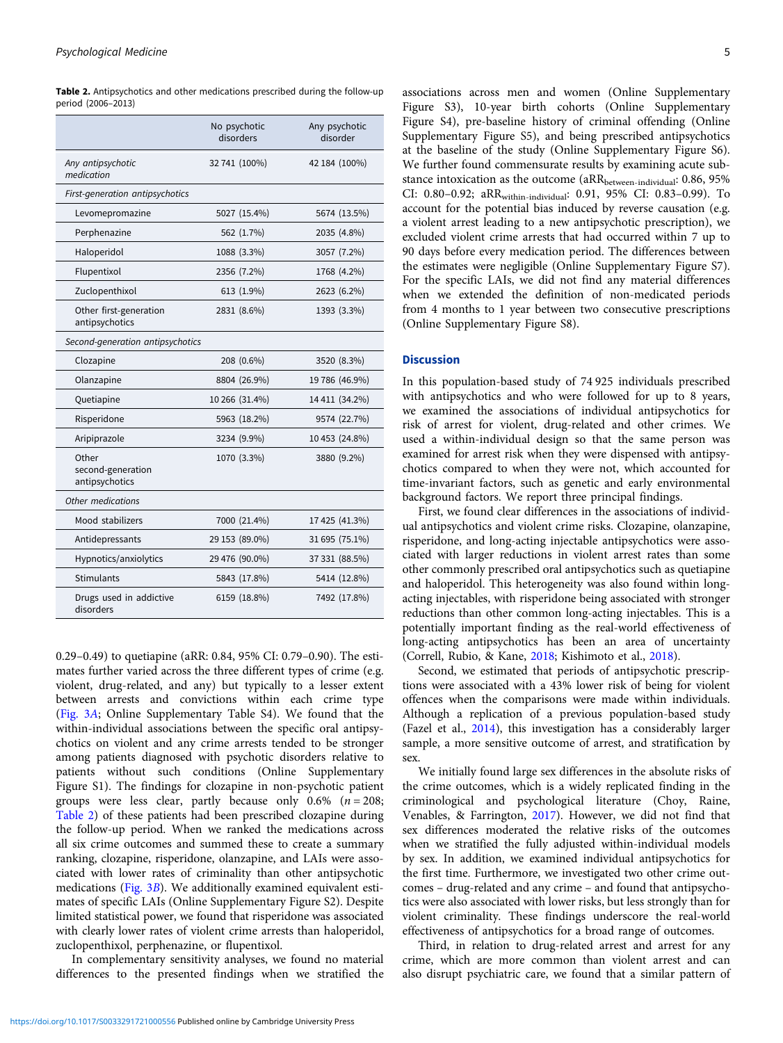|                                              | No psychotic<br>disorders | Any psychotic<br>disorder |
|----------------------------------------------|---------------------------|---------------------------|
| Any antipsychotic<br>medication              | 32 741 (100%)             | 42 184 (100%)             |
| First-generation antipsychotics              |                           |                           |
| Levomepromazine                              | 5027 (15.4%)              | 5674 (13.5%)              |
| Perphenazine                                 | 562 (1.7%)                | 2035 (4.8%)               |
| Haloperidol                                  | 1088 (3.3%)               | 3057 (7.2%)               |
| Flupentixol                                  | 2356 (7.2%)               | 1768 (4.2%)               |
| Zuclopenthixol                               | 613 (1.9%)                | 2623 (6.2%)               |
| Other first-generation<br>antipsychotics     | 2831 (8.6%)               | 1393 (3.3%)               |
| Second-generation antipsychotics             |                           |                           |
| Clozapine                                    | 208 (0.6%)                | 3520 (8.3%)               |
| Olanzapine                                   | 8804 (26.9%)              | 19 786 (46.9%)            |
| Quetiapine                                   | 10 266 (31.4%)            | 14 411 (34.2%)            |
| Risperidone                                  | 5963 (18.2%)              | 9574 (22.7%)              |
| Aripiprazole                                 | 3234 (9.9%)               | 10 453 (24.8%)            |
| Other<br>second-generation<br>antipsychotics | 1070 (3.3%)               | 3880 (9.2%)               |
| Other medications                            |                           |                           |
| Mood stabilizers                             | 7000 (21.4%)              | 17 425 (41.3%)            |
| Antidepressants                              | 29 153 (89.0%)            | 31 695 (75.1%)            |
| Hypnotics/anxiolytics                        | 29 476 (90.0%)            | 37 331 (88.5%)            |
| <b>Stimulants</b>                            | 5843 (17.8%)              | 5414 (12.8%)              |
| Drugs used in addictive<br>disorders         | 6159 (18.8%)              | 7492 (17.8%)              |

<span id="page-4-0"></span>Table 2. Antipsychotics and other medications prescribed during the follow-up period (2006–2013)

0.29–0.49) to quetiapine (aRR: 0.84, 95% CI: 0.79–0.90). The estimates further varied across the three different types of crime (e.g. violent, drug-related, and any) but typically to a lesser extent between arrests and convictions within each crime type ([Fig. 3](#page-6-0)A; Online Supplementary Table S4). We found that the within-individual associations between the specific oral antipsychotics on violent and any crime arrests tended to be stronger among patients diagnosed with psychotic disorders relative to patients without such conditions (Online Supplementary Figure S1). The findings for clozapine in non-psychotic patient groups were less clear, partly because only  $0.6\%$  ( $n = 208$ ; Table 2) of these patients had been prescribed clozapine during the follow-up period. When we ranked the medications across all six crime outcomes and summed these to create a summary ranking, clozapine, risperidone, olanzapine, and LAIs were associated with lower rates of criminality than other antipsychotic medications ([Fig. 3](#page-6-0)B). We additionally examined equivalent estimates of specific LAIs (Online Supplementary Figure S2). Despite limited statistical power, we found that risperidone was associated with clearly lower rates of violent crime arrests than haloperidol, zuclopenthixol, perphenazine, or flupentixol.

In complementary sensitivity analyses, we found no material differences to the presented findings when we stratified the

associations across men and women (Online Supplementary Figure S3), 10-year birth cohorts (Online Supplementary Figure S4), pre-baseline history of criminal offending (Online Supplementary Figure S5), and being prescribed antipsychotics at the baseline of the study (Online Supplementary Figure S6). We further found commensurate results by examining acute substance intoxication as the outcome (aRR<sub>between-individual</sub>: 0.86, 95% CI: 0.80–0.92; aRRwithin-individual: 0.91, 95% CI: 0.83–0.99). To account for the potential bias induced by reverse causation (e.g. a violent arrest leading to a new antipsychotic prescription), we excluded violent crime arrests that had occurred within 7 up to 90 days before every medication period. The differences between the estimates were negligible (Online Supplementary Figure S7). For the specific LAIs, we did not find any material differences when we extended the definition of non-medicated periods from 4 months to 1 year between two consecutive prescriptions (Online Supplementary Figure S8).

## **Discussion**

In this population-based study of 74 925 individuals prescribed with antipsychotics and who were followed for up to 8 years, we examined the associations of individual antipsychotics for risk of arrest for violent, drug-related and other crimes. We used a within-individual design so that the same person was examined for arrest risk when they were dispensed with antipsychotics compared to when they were not, which accounted for time-invariant factors, such as genetic and early environmental background factors. We report three principal findings.

First, we found clear differences in the associations of individual antipsychotics and violent crime risks. Clozapine, olanzapine, risperidone, and long-acting injectable antipsychotics were associated with larger reductions in violent arrest rates than some other commonly prescribed oral antipsychotics such as quetiapine and haloperidol. This heterogeneity was also found within longacting injectables, with risperidone being associated with stronger reductions than other common long-acting injectables. This is a potentially important finding as the real-world effectiveness of long-acting antipsychotics has been an area of uncertainty (Correll, Rubio, & Kane, [2018;](#page-7-0) Kishimoto et al., [2018](#page-7-0)).

Second, we estimated that periods of antipsychotic prescriptions were associated with a 43% lower risk of being for violent offences when the comparisons were made within individuals. Although a replication of a previous population-based study (Fazel et al., [2014](#page-7-0)), this investigation has a considerably larger sample, a more sensitive outcome of arrest, and stratification by sex.

We initially found large sex differences in the absolute risks of the crime outcomes, which is a widely replicated finding in the criminological and psychological literature (Choy, Raine, Venables, & Farrington, [2017](#page-7-0)). However, we did not find that sex differences moderated the relative risks of the outcomes when we stratified the fully adjusted within-individual models by sex. In addition, we examined individual antipsychotics for the first time. Furthermore, we investigated two other crime outcomes – drug-related and any crime – and found that antipsychotics were also associated with lower risks, but less strongly than for violent criminality. These findings underscore the real-world effectiveness of antipsychotics for a broad range of outcomes.

Third, in relation to drug-related arrest and arrest for any crime, which are more common than violent arrest and can also disrupt psychiatric care, we found that a similar pattern of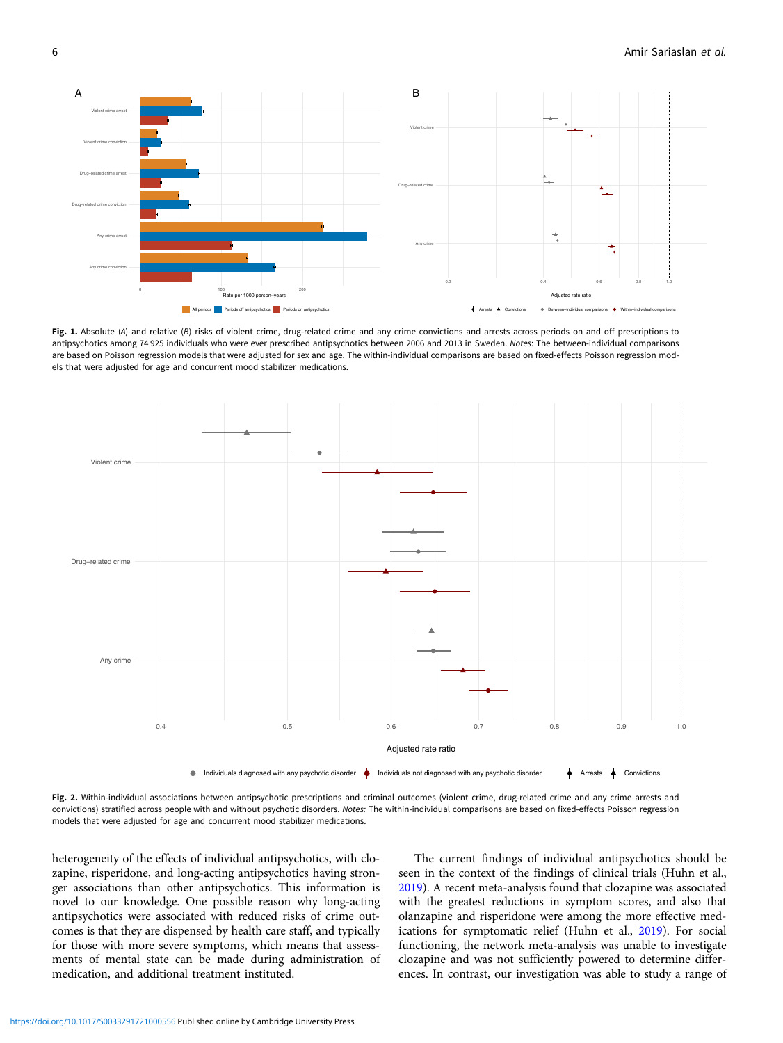<span id="page-5-0"></span>

Fig. 1. Absolute (A) and relative (B) risks of violent crime, drug-related crime and any crime convictions and arrests across periods on and off prescriptions to antipsychotics among 74 925 individuals who were ever prescribed antipsychotics between 2006 and 2013 in Sweden. Notes: The between-individual comparisons are based on Poisson regression models that were adjusted for sex and age. The within-individual comparisons are based on fixed-effects Poisson regression models that were adjusted for age and concurrent mood stabilizer medications.



Fig. 2. Within-individual associations between antipsychotic prescriptions and criminal outcomes (violent crime, drug-related crime and any crime arrests and convictions) stratified across people with and without psychotic disorders. Notes: The within-individual comparisons are based on fixed-effects Poisson regression models that were adjusted for age and concurrent mood stabilizer medications.

heterogeneity of the effects of individual antipsychotics, with clozapine, risperidone, and long-acting antipsychotics having stronger associations than other antipsychotics. This information is novel to our knowledge. One possible reason why long-acting antipsychotics were associated with reduced risks of crime outcomes is that they are dispensed by health care staff, and typically for those with more severe symptoms, which means that assessments of mental state can be made during administration of medication, and additional treatment instituted.

The current findings of individual antipsychotics should be seen in the context of the findings of clinical trials (Huhn et al., [2019\)](#page-7-0). A recent meta-analysis found that clozapine was associated with the greatest reductions in symptom scores, and also that olanzapine and risperidone were among the more effective medications for symptomatic relief (Huhn et al., [2019](#page-7-0)). For social functioning, the network meta-analysis was unable to investigate clozapine and was not sufficiently powered to determine differences. In contrast, our investigation was able to study a range of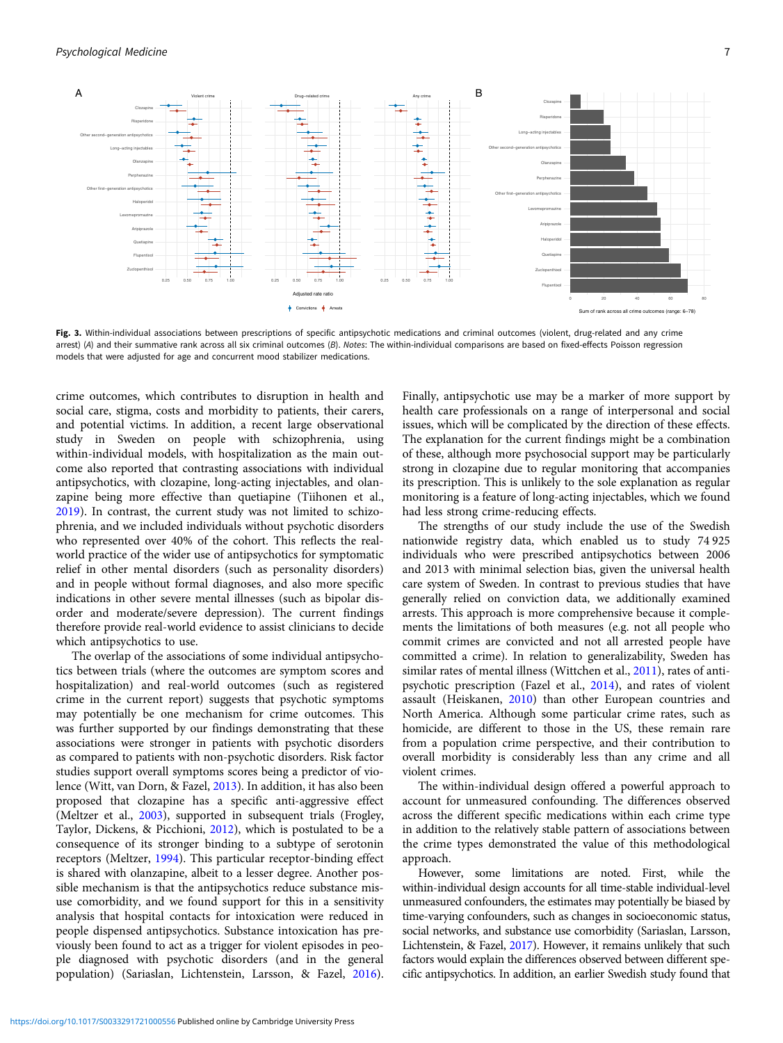<span id="page-6-0"></span>

Fig. 3. Within-individual associations between prescriptions of specific antipsychotic medications and criminal outcomes (violent, drug-related and any crime arrest) (A) and their summative rank across all six criminal outcomes (B). Notes: The within-individual comparisons are based on fixed-effects Poisson regression models that were adjusted for age and concurrent mood stabilizer medications.

crime outcomes, which contributes to disruption in health and social care, stigma, costs and morbidity to patients, their carers, and potential victims. In addition, a recent large observational study in Sweden on people with schizophrenia, using within-individual models, with hospitalization as the main outcome also reported that contrasting associations with individual antipsychotics, with clozapine, long-acting injectables, and olanzapine being more effective than quetiapine (Tiihonen et al., [2019\)](#page-8-0). In contrast, the current study was not limited to schizophrenia, and we included individuals without psychotic disorders who represented over 40% of the cohort. This reflects the realworld practice of the wider use of antipsychotics for symptomatic relief in other mental disorders (such as personality disorders) and in people without formal diagnoses, and also more specific indications in other severe mental illnesses (such as bipolar disorder and moderate/severe depression). The current findings therefore provide real-world evidence to assist clinicians to decide which antipsychotics to use.

The overlap of the associations of some individual antipsychotics between trials (where the outcomes are symptom scores and hospitalization) and real-world outcomes (such as registered crime in the current report) suggests that psychotic symptoms may potentially be one mechanism for crime outcomes. This was further supported by our findings demonstrating that these associations were stronger in patients with psychotic disorders as compared to patients with non-psychotic disorders. Risk factor studies support overall symptoms scores being a predictor of violence (Witt, van Dorn, & Fazel, [2013](#page-8-0)). In addition, it has also been proposed that clozapine has a specific anti-aggressive effect (Meltzer et al., [2003\)](#page-8-0), supported in subsequent trials (Frogley, Taylor, Dickens, & Picchioni, [2012\)](#page-7-0), which is postulated to be a consequence of its stronger binding to a subtype of serotonin receptors (Meltzer, [1994](#page-8-0)). This particular receptor-binding effect is shared with olanzapine, albeit to a lesser degree. Another possible mechanism is that the antipsychotics reduce substance misuse comorbidity, and we found support for this in a sensitivity analysis that hospital contacts for intoxication were reduced in people dispensed antipsychotics. Substance intoxication has previously been found to act as a trigger for violent episodes in people diagnosed with psychotic disorders (and in the general population) (Sariaslan, Lichtenstein, Larsson, & Fazel, [2016\)](#page-8-0).

Finally, antipsychotic use may be a marker of more support by health care professionals on a range of interpersonal and social issues, which will be complicated by the direction of these effects. The explanation for the current findings might be a combination of these, although more psychosocial support may be particularly strong in clozapine due to regular monitoring that accompanies its prescription. This is unlikely to the sole explanation as regular monitoring is a feature of long-acting injectables, which we found had less strong crime-reducing effects.

The strengths of our study include the use of the Swedish nationwide registry data, which enabled us to study 74 925 individuals who were prescribed antipsychotics between 2006 and 2013 with minimal selection bias, given the universal health care system of Sweden. In contrast to previous studies that have generally relied on conviction data, we additionally examined arrests. This approach is more comprehensive because it complements the limitations of both measures (e.g. not all people who commit crimes are convicted and not all arrested people have committed a crime). In relation to generalizability, Sweden has similar rates of mental illness (Wittchen et al., [2011](#page-8-0)), rates of antipsychotic prescription (Fazel et al., [2014\)](#page-7-0), and rates of violent assault (Heiskanen, [2010](#page-7-0)) than other European countries and North America. Although some particular crime rates, such as homicide, are different to those in the US, these remain rare from a population crime perspective, and their contribution to overall morbidity is considerably less than any crime and all violent crimes.

The within-individual design offered a powerful approach to account for unmeasured confounding. The differences observed across the different specific medications within each crime type in addition to the relatively stable pattern of associations between the crime types demonstrated the value of this methodological approach.

However, some limitations are noted. First, while the within-individual design accounts for all time-stable individual-level unmeasured confounders, the estimates may potentially be biased by time-varying confounders, such as changes in socioeconomic status, social networks, and substance use comorbidity (Sariaslan, Larsson, Lichtenstein, & Fazel, [2017](#page-8-0)). However, it remains unlikely that such factors would explain the differences observed between different specific antipsychotics. In addition, an earlier Swedish study found that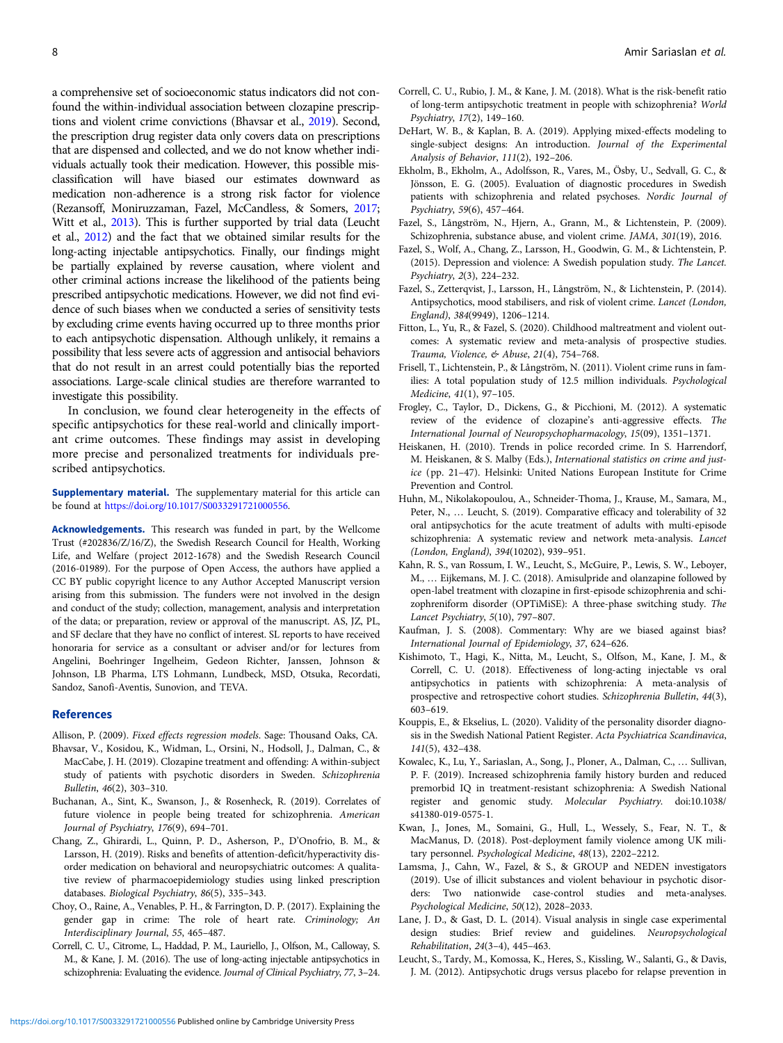<span id="page-7-0"></span>a comprehensive set of socioeconomic status indicators did not confound the within-individual association between clozapine prescriptions and violent crime convictions (Bhavsar et al., 2019). Second, the prescription drug register data only covers data on prescriptions that are dispensed and collected, and we do not know whether individuals actually took their medication. However, this possible misclassification will have biased our estimates downward as medication non-adherence is a strong risk factor for violence (Rezansoff, Moniruzzaman, Fazel, McCandless, & Somers, [2017](#page-8-0); Witt et al., [2013](#page-8-0)). This is further supported by trial data (Leucht et al., 2012) and the fact that we obtained similar results for the long-acting injectable antipsychotics. Finally, our findings might be partially explained by reverse causation, where violent and other criminal actions increase the likelihood of the patients being prescribed antipsychotic medications. However, we did not find evidence of such biases when we conducted a series of sensitivity tests by excluding crime events having occurred up to three months prior to each antipsychotic dispensation. Although unlikely, it remains a possibility that less severe acts of aggression and antisocial behaviors that do not result in an arrest could potentially bias the reported associations. Large-scale clinical studies are therefore warranted to investigate this possibility.

In conclusion, we found clear heterogeneity in the effects of specific antipsychotics for these real-world and clinically important crime outcomes. These findings may assist in developing more precise and personalized treatments for individuals prescribed antipsychotics.

Supplementary material. The supplementary material for this article can be found at <https://doi.org/10.1017/S0033291721000556>.

Acknowledgements. This research was funded in part, by the Wellcome Trust (#202836/Z/16/Z), the Swedish Research Council for Health, Working Life, and Welfare (project 2012-1678) and the Swedish Research Council (2016-01989). For the purpose of Open Access, the authors have applied a CC BY public copyright licence to any Author Accepted Manuscript version arising from this submission. The funders were not involved in the design and conduct of the study; collection, management, analysis and interpretation of the data; or preparation, review or approval of the manuscript. AS, JZ, PL, and SF declare that they have no conflict of interest. SL reports to have received honoraria for service as a consultant or adviser and/or for lectures from Angelini, Boehringer Ingelheim, Gedeon Richter, Janssen, Johnson & Johnson, LB Pharma, LTS Lohmann, Lundbeck, MSD, Otsuka, Recordati, Sandoz, Sanofi-Aventis, Sunovion, and TEVA.

#### References

- Allison, P. (2009). Fixed effects regression models. Sage: Thousand Oaks, CA.
- Bhavsar, V., Kosidou, K., Widman, L., Orsini, N., Hodsoll, J., Dalman, C., & MacCabe, J. H. (2019). Clozapine treatment and offending: A within-subject study of patients with psychotic disorders in Sweden. Schizophrenia Bulletin, 46(2), 303–310.
- Buchanan, A., Sint, K., Swanson, J., & Rosenheck, R. (2019). Correlates of future violence in people being treated for schizophrenia. American Journal of Psychiatry, 176(9), 694–701.
- Chang, Z., Ghirardi, L., Quinn, P. D., Asherson, P., D'Onofrio, B. M., & Larsson, H. (2019). Risks and benefits of attention-deficit/hyperactivity disorder medication on behavioral and neuropsychiatric outcomes: A qualitative review of pharmacoepidemiology studies using linked prescription databases. Biological Psychiatry, 86(5), 335–343.
- Choy, O., Raine, A., Venables, P. H., & Farrington, D. P. (2017). Explaining the gender gap in crime: The role of heart rate. Criminology; An Interdisciplinary Journal, 55, 465–487.
- Correll, C. U., Citrome, L., Haddad, P. M., Lauriello, J., Olfson, M., Calloway, S. M., & Kane, J. M. (2016). The use of long-acting injectable antipsychotics in schizophrenia: Evaluating the evidence. Journal of Clinical Psychiatry, 77, 3–24.
- Correll, C. U., Rubio, J. M., & Kane, J. M. (2018). What is the risk-benefit ratio of long-term antipsychotic treatment in people with schizophrenia? World Psychiatry, 17(2), 149–160.
- DeHart, W. B., & Kaplan, B. A. (2019). Applying mixed-effects modeling to single-subject designs: An introduction. Journal of the Experimental Analysis of Behavior, 111(2), 192–206.
- Ekholm, B., Ekholm, A., Adolfsson, R., Vares, M., Ösby, U., Sedvall, G. C., & Jönsson, E. G. (2005). Evaluation of diagnostic procedures in Swedish patients with schizophrenia and related psychoses. Nordic Journal of Psychiatry, 59(6), 457–464.
- Fazel, S., Långström, N., Hjern, A., Grann, M., & Lichtenstein, P. (2009). Schizophrenia, substance abuse, and violent crime. JAMA, 301(19), 2016.
- Fazel, S., Wolf, A., Chang, Z., Larsson, H., Goodwin, G. M., & Lichtenstein, P. (2015). Depression and violence: A Swedish population study. The Lancet. Psychiatry, 2(3), 224–232.
- Fazel, S., Zetterqvist, J., Larsson, H., Långström, N., & Lichtenstein, P. (2014). Antipsychotics, mood stabilisers, and risk of violent crime. Lancet (London, England), 384(9949), 1206–1214.
- Fitton, L., Yu, R., & Fazel, S. (2020). Childhood maltreatment and violent outcomes: A systematic review and meta-analysis of prospective studies. Trauma, Violence, & Abuse, 21(4), 754–768.
- Frisell, T., Lichtenstein, P., & Långström, N. (2011). Violent crime runs in families: A total population study of 12.5 million individuals. Psychological Medicine, 41(1), 97–105.
- Frogley, C., Taylor, D., Dickens, G., & Picchioni, M. (2012). A systematic review of the evidence of clozapine's anti-aggressive effects. The International Journal of Neuropsychopharmacology, 15(09), 1351–1371.
- Heiskanen, H. (2010). Trends in police recorded crime. In S. Harrendorf, M. Heiskanen, & S. Malby (Eds.), International statistics on crime and justice (pp. 21–47). Helsinki: United Nations European Institute for Crime Prevention and Control.
- Huhn, M., Nikolakopoulou, A., Schneider-Thoma, J., Krause, M., Samara, M., Peter, N., … Leucht, S. (2019). Comparative efficacy and tolerability of 32 oral antipsychotics for the acute treatment of adults with multi-episode schizophrenia: A systematic review and network meta-analysis. Lancet (London, England), 394(10202), 939–951.
- Kahn, R. S., van Rossum, I. W., Leucht, S., McGuire, P., Lewis, S. W., Leboyer, M., … Eijkemans, M. J. C. (2018). Amisulpride and olanzapine followed by open-label treatment with clozapine in first-episode schizophrenia and schizophreniform disorder (OPTiMiSE): A three-phase switching study. The Lancet Psychiatry, 5(10), 797–807.
- Kaufman, J. S. (2008). Commentary: Why are we biased against bias? International Journal of Epidemiology, 37, 624–626.
- Kishimoto, T., Hagi, K., Nitta, M., Leucht, S., Olfson, M., Kane, J. M., & Correll, C. U. (2018). Effectiveness of long-acting injectable vs oral antipsychotics in patients with schizophrenia: A meta-analysis of prospective and retrospective cohort studies. Schizophrenia Bulletin, 44(3), 603–619.
- Kouppis, E., & Ekselius, L. (2020). Validity of the personality disorder diagnosis in the Swedish National Patient Register. Acta Psychiatrica Scandinavica, 141(5), 432–438.
- Kowalec, K., Lu, Y., Sariaslan, A., Song, J., Ploner, A., Dalman, C., … Sullivan, P. F. (2019). Increased schizophrenia family history burden and reduced premorbid IQ in treatment-resistant schizophrenia: A Swedish National register and genomic study. Molecular Psychiatry. doi:10.1038/ s41380-019-0575-1.
- Kwan, J., Jones, M., Somaini, G., Hull, L., Wessely, S., Fear, N. T., & MacManus, D. (2018). Post-deployment family violence among UK military personnel. Psychological Medicine, 48(13), 2202–2212.
- Lamsma, J., Cahn, W., Fazel, & S., & GROUP and NEDEN investigators (2019). Use of illicit substances and violent behaviour in psychotic disorders: Two nationwide case-control studies and meta-analyses. Psychological Medicine, 50(12), 2028–2033.
- Lane, J. D., & Gast, D. L. (2014). Visual analysis in single case experimental design studies: Brief review and guidelines. Neuropsychological Rehabilitation, 24(3–4), 445–463.
- Leucht, S., Tardy, M., Komossa, K., Heres, S., Kissling, W., Salanti, G., & Davis, J. M. (2012). Antipsychotic drugs versus placebo for relapse prevention in